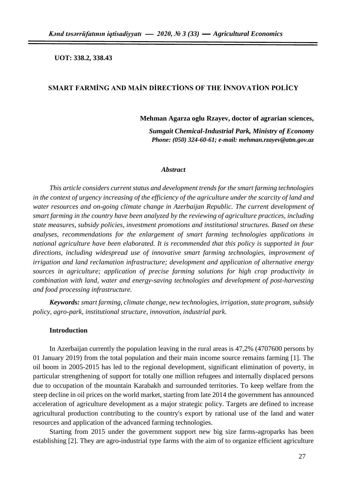**UOT: 338.2, 338.43**

## **SMART FARMİNG AND MAİN DİRECTİONS OF THE İNNOVATİON POLİCY**

## **Mehman Agarza oglu Rzayev, doctor of agrarian sciences,**

*Sumgait Chemical-Industrial Park, Ministry of Economy Phone: (050) 324-60-61; e-mail: [mehman.rzayev@atm.gov.az](mailto:mehman.rzayev@atm.gov.az)*

#### *Abstract*

*This article considers current status and development trends for the smart farming technologies in the context of urgency increasing of the efficiency of the agriculture under the scarcity of land and water resources and on-going climate change in Azerbaijan Republic. The current development of smart farming in the country have been analyzed by the reviewing of agriculture practices, including state measures, subsidy policies, investment promotions and institutional structures. Based on these analyses, recommendations for the enlargement of smart farming technologies applications in national agriculture have been elaborated. It is recommended that this policy is supported in four directions, including widespread use of innovative smart farming technologies, improvement of irrigation and land reclamation infrastructure; development and application of alternative energy sources in agriculture; application of precise farming solutions for high crop productivity in combination with land, water and energy-saving technologies and development of post-harvesting and food processing infrastructure.*

*Keywords: smart farming, climate change, new technologies, irrigation, state program, subsidy policy, agro-park, institutional structure, innovation, industrial park.*

### **Introduction**

In Azerbaijan currently the population leaving in the rural areas is 47,2% (4707600 persons by 01 January 2019) from the total population and their main income source remains farming [1]. The oil boom in 2005-2015 has led to the regional development, significant elimination of poverty, in particular strengthening of support for totally one million refugees and internally displaced persons due to occupation of the mountain Karabakh and surrounded territories. To keep welfare from the steep decline in oil prices on the world market, starting from late 2014 the government has announced acceleration of agriculture development as a major strategic policy. Targets are defined to increase agricultural production contributing to the country's export by rational use of the land and water resources and application of the advanced farming technologies.

Starting from 2015 under the government support new big size farms-agroparks has been establishing [2]. They are agro-industrial type farms with the aim of to organize efficient agriculture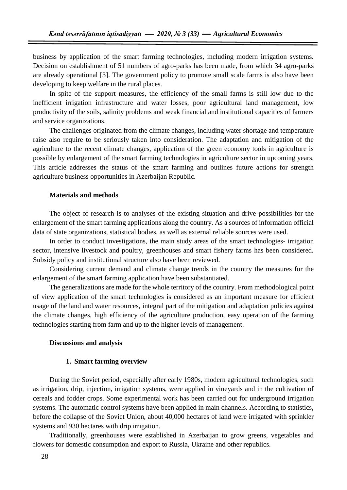business by application of the smart farming technologies, including modern irrigation systems. Decision on establishment of 51 numbers of agro-parks has been made, from which 34 agro-parks are already operational [3]. The government policy to promote small scale farms is also have been developing to keep welfare in the rural places.

In spite of the support measures, the efficiency of the small farms is still low due to the inefficient irrigation infrastructure and water losses, poor agricultural land management, low productivity of the soils, salinity problems and weak financial and institutional capacities of farmers and service organizations.

The challenges originated from the climate changes, including water shortage and temperature raise also require to be seriously taken into consideration. The adaptation and mitigation of the agriculture to the recent climate changes, application of the green economy tools in agriculture is possible by enlargement of the smart farming technologies in agriculture sector in upcoming years. This article addresses the status of the smart farming and outlines future actions for strength agriculture business opportunities in Azerbaijan Republic.

## **Materials and methods**

The object of research is to analyses of the existing situation and drive possibilities for the enlargement of the smart farming applications along the country. As a sources of information official data of state organizations, statistical bodies, as well as external reliable sources were used.

In order to conduct investigations, the main study areas of the smart technologies- irrigation sector, intensive livestock and poultry, greenhouses and smart fishery farms has been considered. Subsidy policy and institutional structure also have been reviewed.

Considering current demand and climate change trends in the country the measures for the enlargement of the smart farming application have been substantiated.

The generalizations are made for the whole territory of the country. From methodological point of view application of the smart technologies is considered as an important measure for efficient usage of the land and water resources, integral part of the mitigation and adaptation policies against the climate changes, high efficiency of the agriculture production, easy operation of the farming technologies starting from farm and up to the higher levels of management.

#### **Discussions and analysis**

#### **1. Smart farming overview**

During the Soviet period, especially after early 1980s, modern agricultural technologies, such as irrigation, drip, injection, irrigation systems, were applied in vineyards and in the cultivation of cereals and fodder crops. Some experimental work has been carried out for underground irrigation systems. The automatic control systems have been applied in main channels. According to statistics, before the collapse of the Soviet Union, about 40,000 hectares of land were irrigated with sprinkler systems and 930 hectares with drip irrigation.

Traditionally, greenhouses were established in Azerbaijan to grow greens, vegetables and flowers for domestic consumption and export to Russia, Ukraine and other republics.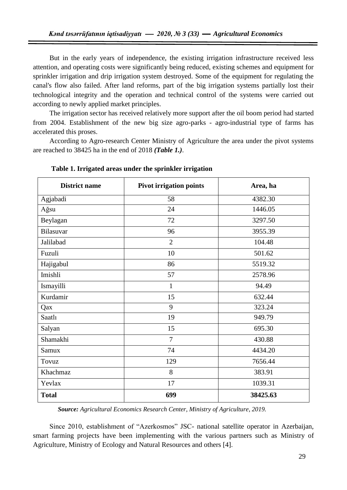But in the early years of independence, the existing irrigation infrastructure received less attention, and operating costs were significantly being reduced, existing schemes and equipment for sprinkler irrigation and drip irrigation system destroyed. Some of the equipment for regulating the canal's flow also failed. After land reforms, part of the big irrigation systems partially lost their technological integrity and the operation and technical control of the systems were carried out according to newly applied market principles.

The irrigation sector has received relatively more support after the oil boom period had started from 2004. Establishment of the new big size agro-parks - agro-industrial type of farms has accelerated this proses.

According to Agro-research Center Ministry of Agriculture the area under the pivot systems are reached to 38425 ha in the end of 2018 *(Table 1.)*.

| <b>District name</b> | <b>Pivot irrigation points</b> | Area, ha |
|----------------------|--------------------------------|----------|
| Agjabadi             | 58                             | 4382.30  |
| Ağsu                 | 24                             | 1446.05  |
| Beylagan             | 72                             | 3297.50  |
| Bilasuvar            | 96                             | 3955.39  |
| Jalilabad            | $\overline{2}$                 | 104.48   |
| Fuzuli               | 10                             | 501.62   |
| Hajigabul            | 86                             | 5519.32  |
| Imishli              | 57                             | 2578.96  |
| Ismayilli            | $\mathbf{1}$                   | 94.49    |
| Kurdamir             | 15                             | 632.44   |
| Qax                  | 9                              | 323.24   |
| Saatl1               | 19                             | 949.79   |
| Salyan               | 15                             | 695.30   |
| Shamakhi             | $\overline{7}$                 | 430.88   |
| Samux                | 74                             | 4434.20  |
| Tovuz                | 129                            | 7656.44  |
| Khachmaz             | 8                              | 383.91   |
| Yevlax               | 17                             | 1039.31  |
| <b>Total</b>         | 699                            | 38425.63 |

**Table 1. Irrigated areas under the sprinkler irrigation**

*Source: Agricultural Economics Research Center, Ministry of Agriculture, 2019.*

Since 2010, establishment of "Azerkosmos" JSC- national satellite operator in Azerbaijan, smart farming projects have been implementing with the various partners such as Ministry of Agriculture, Ministry of Ecology and Natural Resources and others [4].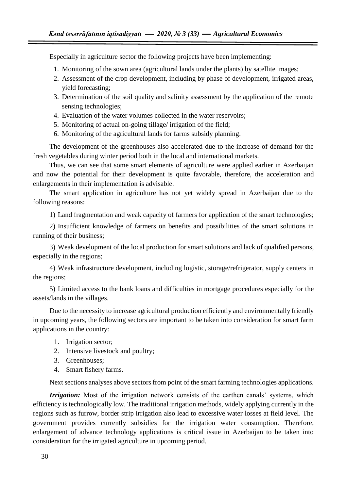Especially in agriculture sector the following projects have been implementing:

- 1. Monitoring of the sown area (agricultural lands under the plants) by satellite images;
- 2. Assessment of the crop development, including by phase of development, irrigated areas, yield forecasting;
- 3. Determination of the soil quality and salinity assessment by the application of the remote sensing technologies;
- 4. Evaluation of the water volumes collected in the water reservoirs;
- 5. Monitoring of actual on-going tillage/ irrigation of the field;
- 6. Monitoring of the agricultural lands for farms subsidy planning.

The development of the greenhouses also accelerated due to the increase of demand for the fresh vegetables during winter period both in the local and international markets.

Thus, we can see that some smart elements of agriculture were applied earlier in Azerbaijan and now the potential for their development is quite favorable, therefore, the acceleration and enlargements in their implementation is advisable.

The smart application in agriculture has not yet widely spread in Azerbaijan due to the following reasons:

1) Land fragmentation and weak capacity of farmers for application of the smart technologies;

2) Insufficient knowledge of farmers on benefits and possibilities of the smart solutions in running of their business;

3) Weak development of the local production for smart solutions and lack of qualified persons, especially in the regions;

4) Weak infrastructure development, including logistic, storage/refrigerator, supply centers in the regions;

5) Limited access to the bank loans and difficulties in mortgage procedures especially for the assets/lands in the villages.

Due to the necessity to increase agricultural production efficiently and environmentally friendly in upcoming years, the following sectors are important to be taken into consideration for smart farm applications in the country:

- 1. Irrigation sector;
- 2. Intensive livestock and poultry;
- 3. Greenhouses;
- 4. Smart fishery farms.

Next sections analyses above sectors from point of the smart farming technologies applications.

*Irrigation:* Most of the irrigation network consists of the earthen canals' systems, which efficiency is technologically low. The traditional irrigation methods, widely applying currently in the regions such as furrow, border strip irrigation also lead to excessive water losses at field level. The government provides currently subsidies for the irrigation water consumption. Therefore, enlargement of advance technology applications is critical issue in Azerbaijan to be taken into consideration for the irrigated agriculture in upcoming period.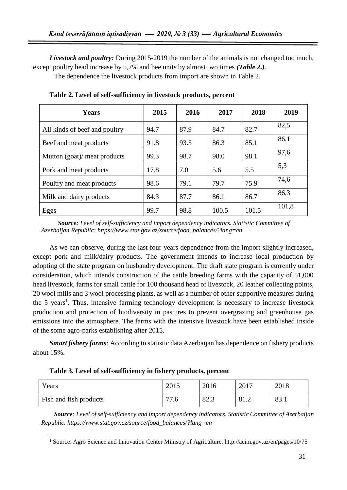*Livestock and poultry:* During 2015-2019 the number of the animals is not changed too much, except poultry head increase by 5,7% and bee units by almost two times *(Table 2.)*.

The dependence the livestock products from import are shown in Table 2.

| <b>Years</b>                  | 2015 | 2016 | 2017  | 2018  | 2019  |
|-------------------------------|------|------|-------|-------|-------|
| All kinds of beef and poultry | 94.7 | 87.9 | 84.7  | 82.7  | 82,5  |
| Beef and meat products        | 91.8 | 93.5 | 86.3  | 85.1  | 86,1  |
| Mutton (goat)/ meat products  | 99.3 | 98.7 | 98.0  | 98.1  | 97,6  |
| Pork and meat products        | 17.8 | 7.0  | 5.6   | 5.5   | 5,3   |
| Poultry and meat products     | 98.6 | 79.1 | 79.7  | 75.9  | 74,6  |
| Milk and dairy products       | 84.3 | 87.7 | 86.1  | 86.7  | 86,3  |
| Eggs                          | 99.7 | 98.8 | 100.5 | 101.5 | 101,8 |

**Table 2. Level of self-sufficiency in livestock products, percent**

*Source: Level of self-sufficiency and import dependency indicators. Statistic Committee of Azerbaijan Republic: https://www.stat.gov.az/source/food\_balances/?lang=en*

As we can observe, during the last four years dependence from the import slightly increased, except pork and milk/dairy products. The government intends to increase local production by adopting of the state program on husbandry development. The draft state program is currently under consideration, which intends construction of the cattle breeding farms with the capacity of 51,000 head livestock, farms for small cattle for 100 thousand head of livestock, 20 leather collecting points, 20 wool mills and 3 wool processing plants, as well as a number of other supportive measures during the 5 years<sup>1</sup>. Thus, intensive farming technology development is necessary to increase livestock production and protection of biodiversity in pastures to prevent overgrazing and greenhouse gas emissions into the atmosphere. The farms with the intensive livestock have been established inside of the some agro-parks establishing after 2015.

*Smart fishery farms:* According to statistic data Azerbaijan has dependence on fishery products about 15%.

| Years                  | 2015      | 2016 | 2017                   | 2018 |
|------------------------|-----------|------|------------------------|------|
| Fish and fish products | 77<br>7.6 | 82.3 | Q <sub>1</sub><br>01.4 | 83.1 |

**Table 3. Level of self-sufficiency in fishery products, percent**

 $\overline{a}$ 

*Source: Level of self-sufficiency and import dependency indicators. Statistic Committee of Azerbaijan Republic. [https://www.stat.gov.az/source/food\\_balances/?lang=en](https://www.stat.gov.az/source/food_balances/?lang=en)*

<sup>1</sup> Source: Agro Science and Innovation Center Ministry of Agriculture.<http://aeim.gov.az/en/pages/10/75>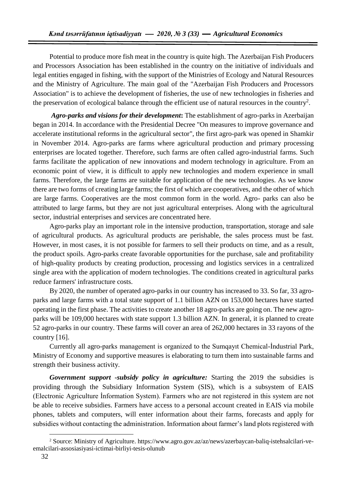Potential to produce more fish meat in the country is quite high. The Azerbaijan Fish Producers and Processors Association has been established in the country on the initiative of individuals and legal entities engaged in fishing, with the support of the Ministries of Ecology and Natural Resources and the Ministry of Agriculture. The main goal of the "Azerbaijan Fish Producers and Processors Association" is to achieve the development of fisheries, the use of new technologies in fisheries and the preservation of ecological balance through the efficient use of natural resources in the country<sup>2</sup>.

*Agro-parks and visions for their development***:** The establishment of agro-parks in Azerbaijan began in 2014. In accordance with the Presidential Decree "On measures to improve governance and accelerate institutional reforms in the agricultural sector", the first agro-park was opened in Shamkir in November 2014. Agro-parks are farms where agricultural production and primary processing enterprises are located together. Therefore, such farms are often called agro-industrial farms. Such farms facilitate the application of new innovations and modern technology in agriculture. From an economic point of view, it is difficult to apply new technologies and modern experience in small farms. Therefore, the large farms are suitable for application of the new technologies. As we know there are two forms of creating large farms; the first of which are cooperatives, and the other of which are large farms. Cooperatives are the most common form in the world. Agro- parks can also be attributed to large farms, but they are not just agricultural enterprises. Along with the agricultural sector, industrial enterprises and services are concentrated here.

Agro-parks play an important role in the intensive production, transportation, storage and sale of agricultural products. As agricultural products are perishable, the sales process must be fast. However, in most cases, it is not possible for farmers to sell their products on time, and as a result, the product spoils. Agro-parks create favorable opportunities for the purchase, sale and profitability of high-quality products by creating production, processing and logistics services in a centralized single area with the application of modern technologies. The conditions created in agricultural parks reduce farmers' infrastructure costs.

By 2020, the number of operated agro-parks in our country has increased to 33. So far, 33 agroparks and large farms with a total state support of 1.1 billion AZN on 153,000 hectares have started operating in the first phase. The activities to create another 18 agro-parks are going on. The new agroparks will be 109,000 hectares with state support 1.3 billion AZN. In general, it is planned to create 52 agro-parks in our country. These farms will cover an area of 262,000 hectares in 33 rayons of the country [16].

Currently all agro-parks management is organized to the Sumqayıt Chemical-İndustrial Park, Ministry of Economy and supportive measures is elaborating to turn them into sustainable farms and strength their business activity.

*Government support -subsidy policy in agriculture:* Starting the 2019 the subsidies is providing through the Subsidiary Information System (SIS), which is a subsystem of EAIS (Electronic Agriculture İnformation System). Farmers who are not registered in this system are not be able to receive subsidies. Farmers have access to a personal account created in EAIS via mobile phones, tablets and computers, will enter information about their farms, forecasts and apply for subsidies without contacting the administration. Information about farmer's land plots registered with

 $\overline{a}$ 

<sup>2</sup> Source: Ministry of Agriculture. [https://www.agro.gov.az/az/news/azerbaycan-baliq-istehsalcilari-ve](https://www.agro.gov.az/az/news/azerbaycan-baliq-istehsalcilari-ve-)emalcilari-assosiasiyasi-ictimai-birliyi-tesis-olunub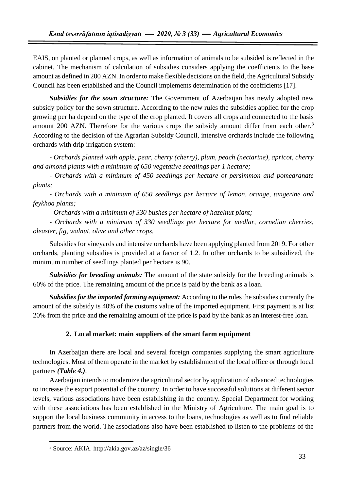EAIS, on planted or planned crops, as well as information of animals to be subsided is reflected in the cabinet. The mechanism of calculation of subsidies considers applying the coefficients to the base amount as defined in 200 AZN. In order to make flexible decisions on the field, the Agricultural Subsidy Council has been established and the Council implements determination of the coefficients [17].

*Subsidies for the sown structure:* The Government of Azerbaijan has newly adopted new subsidy policy for the sown structure. According to the new rules the subsidies applied for the crop growing per ha depend on the type of the crop planted. It covers all crops and connected to the basis amount 200 AZN. Therefore for the various crops the subsidy amount differ from each other.<sup>3</sup> According to the decision of the Agrarian Subsidy Council, intensive orchards include the following orchards with drip irrigation system:

- *Orchards planted with apple, pear, cherry (cherry), plum, peach (nectarine), apricot, cherry and almond plants with a minimum of 650 vegetative seedlings per 1 hectare;*

*- Orchards with a minimum of 450 seedlings per hectare of persimmon and pomegranate plants;*

*- Orchards with a minimum of 650 seedlings per hectare of lemon, orange, tangerine and feykhoa plants;*

*- Orchards with a minimum of 330 bushes per hectare of hazelnut plant;*

*- Orchards with a minimum of 330 seedlings per hectare for medlar, cornelian cherries, oleaster, fig, walnut, olive and other crops.*

Subsidies for vineyards and intensive orchards have been applying planted from 2019. For other orchards, planting subsidies is provided at a factor of 1.2. In other orchards to be subsidized, the minimum number of seedlings planted per hectare is 90.

*Subsidies for breeding animals:* The amount of the state subsidy for the breeding animals is 60% of the price. The remaining amount of the price is paid by the bank as a loan.

*Subsidies for the imported farming equipment:* According to the rules the subsidies currently the amount of the subsidy is 40% of the customs value of the imported equipment. First payment is at list 20% from the price and the remaining amount of the price is paid by the bank as an interest-free loan.

## **2. Local market: main suppliers of the smart farm equipment**

In Azerbaijan there are local and several foreign companies supplying the smart agriculture technologies. Most of them operate in the market by establishment of the local office or through local partners *(Table 4.)*.

Azerbaijan intends to modernize the agricultural sector by application of advanced technologies to increase the export potential of the country. In order to have successful solutions at different sector levels, various associations have been establishing in the country. Special Department for working with these associations has been established in the Ministry of Agriculture. The main goal is to support the local business community in access to the loans, technologies as well as to find reliable partners from the world. The associations also have been established to listen to the problems of the

 $\overline{a}$ 

<sup>3</sup> Source: AKIA. http://akia.gov.az/az/single/36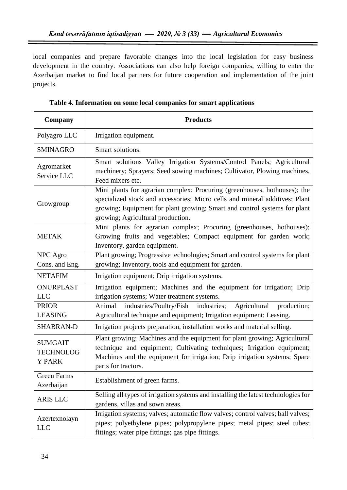local companies and prepare favorable changes into the local legislation for easy business development in the country. Associations can also help foreign companies, willing to enter the Azerbaijan market to find local partners for future cooperation and implementation of the joint projects.

| Company                                                                                                                                                                                                                                          | <b>Products</b>                                                                                                                                                                                                                                                            |  |  |  |  |
|--------------------------------------------------------------------------------------------------------------------------------------------------------------------------------------------------------------------------------------------------|----------------------------------------------------------------------------------------------------------------------------------------------------------------------------------------------------------------------------------------------------------------------------|--|--|--|--|
| Polyagro LLC                                                                                                                                                                                                                                     | Irrigation equipment.                                                                                                                                                                                                                                                      |  |  |  |  |
| <b>SMINAGRO</b>                                                                                                                                                                                                                                  | Smart solutions.                                                                                                                                                                                                                                                           |  |  |  |  |
| Agromarket<br>Service LLC                                                                                                                                                                                                                        | Smart solutions Valley Irrigation Systems/Control Panels; Agricultural<br>machinery; Sprayers; Seed sowing machines; Cultivator, Plowing machines,<br>Feed mixers etc.                                                                                                     |  |  |  |  |
| Growgroup                                                                                                                                                                                                                                        | Mini plants for agrarian complex; Procuring (greenhouses, hothouses); the<br>specialized stock and accessories; Micro cells and mineral additives; Plant<br>growing; Equipment for plant growing; Smart and control systems for plant<br>growing; Agricultural production. |  |  |  |  |
| <b>METAK</b>                                                                                                                                                                                                                                     | Mini plants for agrarian complex; Procuring (greenhouses, hothouses);<br>Growing fruits and vegetables; Compact equipment for garden work;<br>Inventory, garden equipment.                                                                                                 |  |  |  |  |
| NPC Agro<br>Cons. and Eng.                                                                                                                                                                                                                       | Plant growing; Progressive technologies; Smart and control systems for plant<br>growing; Inventory, tools and equipment for garden.                                                                                                                                        |  |  |  |  |
| <b>NETAFIM</b>                                                                                                                                                                                                                                   | Irrigation equipment; Drip irrigation systems.                                                                                                                                                                                                                             |  |  |  |  |
| <b>ONURPLAST</b><br><b>LLC</b>                                                                                                                                                                                                                   | Irrigation equipment; Machines and the equipment for irrigation; Drip<br>irrigation systems; Water treatment systems.                                                                                                                                                      |  |  |  |  |
| <b>PRIOR</b><br><b>LEASING</b>                                                                                                                                                                                                                   | industries/Poultry/Fish<br>industries;<br>Agricultural<br>production;<br>Animal<br>Agricultural technique and equipment; Irrigation equipment; Leasing.                                                                                                                    |  |  |  |  |
| <b>SHABRAN-D</b>                                                                                                                                                                                                                                 | Irrigation projects preparation, installation works and material selling.                                                                                                                                                                                                  |  |  |  |  |
| <b>SUMGAIT</b><br><b>TECHNOLOG</b><br><b>Y PARK</b>                                                                                                                                                                                              | Plant growing; Machines and the equipment for plant growing; Agricultural<br>technique and equipment; Cultivating techniques; Irrigation equipment;<br>Machines and the equipment for irrigation; Drip irrigation systems; Spare<br>parts for tractors.                    |  |  |  |  |
| Green Farms<br>Azerbaijan                                                                                                                                                                                                                        | Establishment of green farms.                                                                                                                                                                                                                                              |  |  |  |  |
| <b>ARIS LLC</b>                                                                                                                                                                                                                                  | Selling all types of irrigation systems and installing the latest technologies for<br>gardens, villas and sown areas.                                                                                                                                                      |  |  |  |  |
| Irrigation systems; valves; automatic flow valves; control valves; ball valves;<br>Azertexnolayn<br>pipes; polyethylene pipes; polypropylene pipes; metal pipes; steel tubes;<br><b>LLC</b><br>fittings; water pipe fittings; gas pipe fittings. |                                                                                                                                                                                                                                                                            |  |  |  |  |

**Table 4. Information on some local companies for smart applications**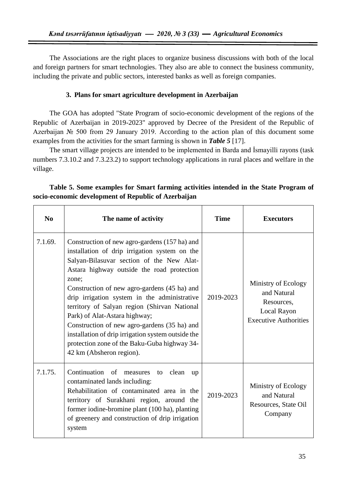The Associations are the right places to organize business discussions with both of the local and foreign partners for smart technologies. They also are able to connect the business community, including the private and public sectors, interested banks as well as foreign companies.

## **3. Plans for smart agriculture development in Azerbaijan**

The GOA has adopted "State Program of socio-economic development of the regions of the Republic of Azerbaijan in 2019-2023" approved by Decree of the President of the Republic of Azerbaijan № 500 from 29 January 2019. According to the action plan of this document some examples from the activities for the smart farming is shown in *Table 5* [17].

The smart village projects are intended to be implemented in Barda and İsmayilli rayons (task numbers 7.3.10.2 and 7.3.23.2) to support technology applications in rural places and welfare in the village.

| $\bf No$ | The name of activity                                                                                                                                                                                                                                                                                                                                                                                                                                                                                                                                                  | <b>Time</b> | <b>Executors</b>                                                                                |
|----------|-----------------------------------------------------------------------------------------------------------------------------------------------------------------------------------------------------------------------------------------------------------------------------------------------------------------------------------------------------------------------------------------------------------------------------------------------------------------------------------------------------------------------------------------------------------------------|-------------|-------------------------------------------------------------------------------------------------|
| 7.1.69.  | Construction of new agro-gardens (157 ha) and<br>installation of drip irrigation system on the<br>Salyan-Bilasuvar section of the New Alat-<br>Astara highway outside the road protection<br>zone;<br>Construction of new agro-gardens (45 ha) and<br>drip irrigation system in the administrative<br>territory of Salyan region (Shirvan National<br>Park) of Alat-Astara highway;<br>Construction of new agro-gardens (35 ha) and<br>installation of drip irrigation system outside the<br>protection zone of the Baku-Guba highway 34-<br>42 km (Absheron region). | 2019-2023   | Ministry of Ecology<br>and Natural<br>Resources,<br>Local Rayon<br><b>Executive Authorities</b> |
| 7.1.75.  | Continuation of measures to clean<br>up<br>contaminated lands including:<br>Rehabilitation of contaminated area in the<br>territory of Surakhani region, around the<br>former iodine-bromine plant (100 ha), planting<br>of greenery and construction of drip irrigation<br>system                                                                                                                                                                                                                                                                                    | 2019-2023   | Ministry of Ecology<br>and Natural<br>Resources, State Oil<br>Company                           |

|  | Table 5. Some examples for Smart farming activities intended in the State Program of |  |  |  |  |
|--|--------------------------------------------------------------------------------------|--|--|--|--|
|  | socio-economic development of Republic of Azerbaijan                                 |  |  |  |  |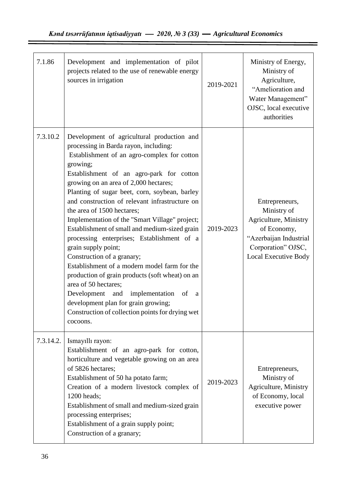| 7.1.86    | Development and implementation of pilot<br>projects related to the use of renewable energy<br>sources in irrigation                                                                                                                                                                                                                                                                                                                                                                                                                                                                                                                                                                                                                                                                                                                                       | 2019-2021 | Ministry of Energy,<br>Ministry of<br>Agriculture,<br>"Amelioration and<br>Water Management"<br>OJSC, local executive<br>authorities                 |
|-----------|-----------------------------------------------------------------------------------------------------------------------------------------------------------------------------------------------------------------------------------------------------------------------------------------------------------------------------------------------------------------------------------------------------------------------------------------------------------------------------------------------------------------------------------------------------------------------------------------------------------------------------------------------------------------------------------------------------------------------------------------------------------------------------------------------------------------------------------------------------------|-----------|------------------------------------------------------------------------------------------------------------------------------------------------------|
| 7.3.10.2  | Development of agricultural production and<br>processing in Barda rayon, including:<br>Establishment of an agro-complex for cotton<br>growing;<br>Establishment of an agro-park for cotton<br>growing on an area of 2,000 hectares;<br>Planting of sugar beet, corn, soybean, barley<br>and construction of relevant infrastructure on<br>the area of 1500 hectares;<br>Implementation of the "Smart Village" project;<br>Establishment of small and medium-sized grain<br>processing enterprises; Establishment of a<br>grain supply point;<br>Construction of a granary;<br>Establishment of a modern model farm for the<br>production of grain products (soft wheat) on an<br>area of 50 hectares;<br>Development and implementation<br>of<br>a<br>development plan for grain growing;<br>Construction of collection points for drying wet<br>cocoons. | 2019-2023 | Entrepreneurs,<br>Ministry of<br>Agriculture, Ministry<br>of Economy,<br>"Azerbaijan Industrial<br>Corporation" OJSC,<br><b>Local Executive Body</b> |
| 7.3.14.2. | Ismayıllı rayon:<br>Establishment of an agro-park for cotton,<br>horticulture and vegetable growing on an area<br>of 5826 hectares;<br>Establishment of 50 ha potato farm;<br>Creation of a modern livestock complex of<br>1200 heads;<br>Establishment of small and medium-sized grain<br>processing enterprises;<br>Establishment of a grain supply point;<br>Construction of a granary;                                                                                                                                                                                                                                                                                                                                                                                                                                                                | 2019-2023 | Entrepreneurs,<br>Ministry of<br>Agriculture, Ministry<br>of Economy, local<br>executive power                                                       |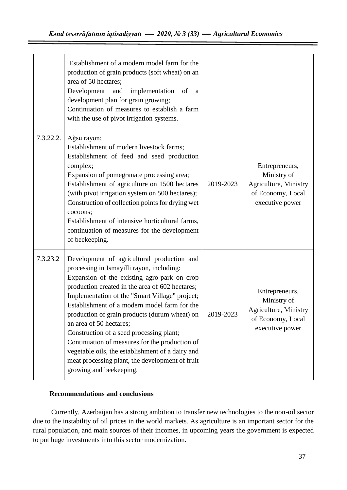|           | Establishment of a modern model farm for the<br>production of grain products (soft wheat) on an<br>area of 50 hectares;<br>Development and<br>implementation of<br>a a<br>development plan for grain growing;<br>Continuation of measures to establish a farm<br>with the use of pivot irrigation systems.                                                                                                                                                                                                                                                                                              |           |                                                                                                |
|-----------|---------------------------------------------------------------------------------------------------------------------------------------------------------------------------------------------------------------------------------------------------------------------------------------------------------------------------------------------------------------------------------------------------------------------------------------------------------------------------------------------------------------------------------------------------------------------------------------------------------|-----------|------------------------------------------------------------------------------------------------|
| 7.3.22.2. | Ağsu rayon:<br>Establishment of modern livestock farms;<br>Establishment of feed and seed production<br>complex;<br>Expansion of pomegranate processing area;<br>Establishment of agriculture on 1500 hectares<br>(with pivot irrigation system on 500 hectares);<br>Construction of collection points for drying wet<br>cocoons;<br>Establishment of intensive horticultural farms,<br>continuation of measures for the development<br>of beekeeping.                                                                                                                                                  | 2019-2023 | Entrepreneurs,<br>Ministry of<br>Agriculture, Ministry<br>of Economy, Local<br>executive power |
| 7.3.23.2  | Development of agricultural production and<br>processing in Ismayilli rayon, including:<br>Expansion of the existing agro-park on crop<br>production created in the area of 602 hectares;<br>Implementation of the "Smart Village" project;<br>Establishment of a modern model farm for the<br>production of grain products (durum wheat) on<br>an area of 50 hectares;<br>Construction of a seed processing plant;<br>Continuation of measures for the production of<br>vegetable oils, the establishment of a dairy and<br>meat processing plant, the development of fruit<br>growing and beekeeping. | 2019-2023 | Entrepreneurs,<br>Ministry of<br>Agriculture, Ministry<br>of Economy, Local<br>executive power |

## **Recommendations and conclusions**

Currently, Azerbaijan has a strong ambition to transfer new technologies to the non-oil sector due to the instability of oil prices in the world markets. As agriculture is an important sector for the rural population, and main sources of their incomes, in upcoming years the government is expected to put huge investments into this sector modernization.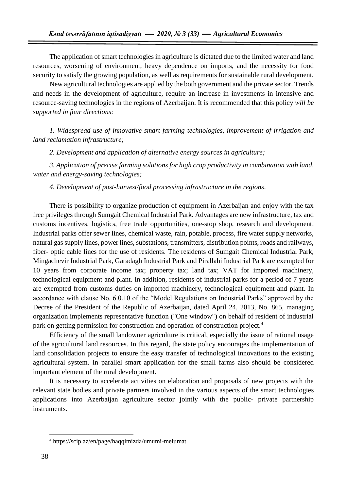The application of smart technologies in agriculture is dictated due to the limited water and land resources, worsening of environment, heavy dependence on imports, and the necessity for food security to satisfy the growing population, as well as requirements for sustainable rural development.

New agricultural technologies are applied by the both government and the private sector. Trends and needs in the development of agriculture, require an increase in investments in intensive and resource-saving technologies in the regions of Azerbaijan. It is recommended that this policy *will be supported in four directions:*

*1. Widespread use of innovative smart farming technologies, improvement of irrigation and land reclamation infrastructure;*

*2. Development and application of alternative energy sources in agriculture;*

*3. Application of precise farming solutions for high crop productivity in combination with land, water and energy-saving technologies;*

*4. Development of post-harvest/food processing infrastructure in the regions*.

There is possibility to organize production of equipment in Azerbaijan and enjoy with the tax free privileges through Sumgait Chemical Industrial Park. Advantages are new infrastructure, tax and customs incentives, logistics, free trade opportunities, one-stop shop, research and development. Industrial parks offer sewer lines, chemical waste, rain, potable, process, fire water supply networks, natural gas supply lines, power lines, substations, transmitters, distribution points, roads and railways, fiber- optic cable lines for the use of residents. The residents of Sumgait Chemical Industrial Park, Mingachevir Industrial Park, Garadagh Industrial Park and Pirallahi Industrial Park are exempted for 10 years from corporate income tax; property tax; land tax; VAT for imported machinery, technological equipment and plant. In addition, residents of industrial parks for a period of 7 years are exempted from customs duties on imported machinery, technological equipment and plant. In accordance with clause No. 6.0.10 of the "Model Regulations on Industrial Parks" approved by the Decree of the President of the Republic of Azerbaijan, dated April 24, 2013, No. 865, managing organization implements representative function ("One window") on behalf of resident of industrial park on getting permission for construction and operation of construction project.<sup>4</sup>

Efficiency of the small landowner agriculture is critical, especially the issue of rational usage of the agricultural land resources. In this regard, the state policy encourages the implementation of land consolidation projects to ensure the easy transfer of technological innovations to the existing agricultural system. In parallel smart application for the small farms also should be considered important element of the rural development.

It is necessary to accelerate activities on elaboration and proposals of new projects with the relevant state bodies and private partners involved in the various aspects of the smart technologies applications into Azerbaijan agriculture sector jointly with the public- private partnership instruments.

 $\overline{a}$ 

<sup>4</sup> <https://scip.az/en/page/haqqimizda/umumi-melumat>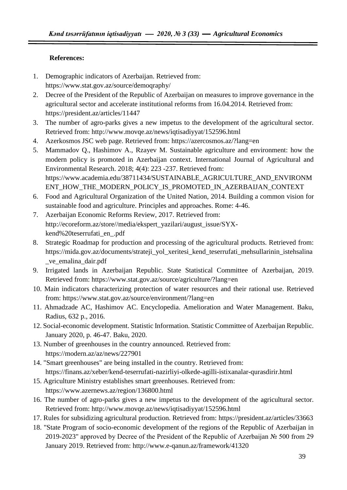## **References:**

- 1. Demographic indicators of Azerbaijan. Retrieved from: <https://www.stat.gov.az/source/demoqraphy/>
- 2. Decree of the President of the Republic of Azerbaijan on measures to improve governance in the agricultural sector and accelerate institutional reforms from 16.04.2014. Retrieved from: <https://president.az/articles/11447>
- 3. The number of agro-parks gives a new impetus to the development of the agricultural sector. Retrieved from:<http://www.movqe.az/news/iqtisadiyyat/152596.html>
- 4. Azerkosmos JSC web page. Retrieved from:<https://azercosmos.az/?lang=en>
- 5. Mammadov Q., Hashimov A., Rzayev M. Sustainable agriculture and environment: how the modern policy is promoted in Azerbaijan context. International Journal of Agricultural and Environmental Research. 2018; 4(4): 223 -237. Retrieved from: [https://www.academia.edu/38711434/SUSTAINABLE\\_AGRICULTURE\\_AND\\_ENVIRONM](https://www.academia.edu/38711434/SUSTAINABLE_AGRICULTURE_AND_ENVIRONMENT_HOW_THE_MODERN_POLICY_IS_PROMOTED_IN_AZERBAIJAN_CONTEXT) [ENT\\_HOW\\_THE\\_MODERN\\_POLICY\\_IS\\_PROMOTED\\_IN\\_AZERBAIJAN\\_CONTEXT](https://www.academia.edu/38711434/SUSTAINABLE_AGRICULTURE_AND_ENVIRONMENT_HOW_THE_MODERN_POLICY_IS_PROMOTED_IN_AZERBAIJAN_CONTEXT)
- 6. Food and Agricultural Organization of the United Nation, 2014. Building a common vision for sustainable food and agriculture. Principles and approaches. Rome: 4-46.
- 7. Azerbaijan Economic Reforms Review, 2017. Retrieved from: [http://ecoreform.az/store//media/ekspert\\_yazilari/august\\_issue/SYX](http://ecoreform.az/store/media/ekspert_yazilari/august_issue/SYX-kend%20teserrufati_en_.pdf)[kend%20teserrufati\\_en\\_.pdf](http://ecoreform.az/store/media/ekspert_yazilari/august_issue/SYX-kend%20teserrufati_en_.pdf)
- 8. Strategic Roadmap for production and processing of the agricultural products. Retrieved from: [https://mida.gov.az/documents/strateji\\_yol\\_xeritesi\\_kend\\_teserrufati\\_mehsullarinin\\_istehsalina](https://mida.gov.az/documents/strateji_yol_xeritesi_kend_teserrufati_mehsullarinin_istehsalina_ve_emalina_dair.pdf) [\\_ve\\_emalina\\_dair.pdf](https://mida.gov.az/documents/strateji_yol_xeritesi_kend_teserrufati_mehsullarinin_istehsalina_ve_emalina_dair.pdf)
- 9. Irrigated lands in Azerbaijan Republic. State Statistical Committee of Azerbaijan, 2019. Retrieved from:<https://www.stat.gov.az/source/agriculture/?lang=en>
- 10. Main indicators characterizing protection of water resources and their rational use. Retrieved from:<https://www.stat.gov.az/source/environment/?lang=en>
- 11. Ahmadzade AC, Hashimov AC. Encyclopedia. Amelioration and Water Management. Baku, Radius, 632 p., 2016.
- 12. Social-economic development. Statistic Information. Statistic Committee of Azerbaijan Republic. January 2020, p. 46-47. Baku, 2020.
- 13. Number of greenhouses in the country announced. Retrieved from: <https://modern.az/az/news/227901>
- 14. "Smart greenhouses" are being installed in the country. Retrieved from: <https://finans.az/xeber/kend-teserrufati-nazirliyi-olkede-agilli-istixanalar-qurasdirir.html>
- 15. Agriculture Ministry establishes smart greenhouses. Retrieved from: <https://www.azernews.az/region/136800.html>
- 16. The number of agro-parks gives a new impetus to the development of the agricultural sector. Retrieved from:<http://www.movqe.az/news/iqtisadiyyat/152596.html>
- 17. Rules for subsidizing agricultural production. Retrieved from:<https://president.az/articles/33663>
- 18. "State Program of socio-economic development of the regions of the Republic of Azerbaijan in 2019-2023" approved by Decree of the President of the Republic of Azerbaijan № 500 from 29 January 2019. Retrieved from:<http://www.e-qanun.az/framework/41320>